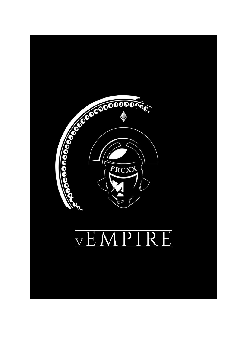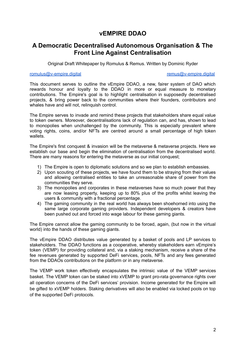# **vEMPIRE DDAO**

## **A Democratic Decentralised Autonomous Organisation & The Front Line Against Centralisation**

Original Draft Whitepaper by Romulus & Remus. Written by Dominic Ryder

#### [romulus@v-empire.digital](mailto:romulus@v-empire.digital.com) remusable remusare remusare remusare remusare remusare remusare remusare remusare remusare remusare remusare remusare remusare remusare remusare remusare remusare remusare remusare remusare remusar

This document serves to outline the vEmpire DDAO, a new, fairer system of DAO which rewards honour and loyalty to the DDAO in more or equal measure to monetary contributions. The Empire's goal is to highlight centralisation in supposedly decentralised projects, & bring power back to the communities where their founders, contributors and whales have and will not, relinquish control.

The Empire serves to invade and remind these projects that stakeholders share equal value to token owners. Moreover, decentralisations lack of regulation can, and has, shown to lead to monopolies when unchallenged by the community. This is especially prevalent where voting rights, coins, and/or NFTs are centred around a small percentage of high token wallets.

The Empire's first conquest & invasion will be the metaverse & metaverse projects. Here we establish our base and begin the elimination of centralisation from the decentralised world. There are many reasons for entering the metaverse as our initial conquest;

- 1) The Empire is open to diplomatic solutions and so we plan to establish embassies.
- 2) Upon scouting of these projects, we have found them to be straying from their values and allowing centralised entities to take an unreasonable share of power from the communities they serve.
- 3) The monopolies and corporates in these metaverses have so much power that they are now leasing property, keeping up to 80% plus of the profits whilst leaving the users & community with a fractional percentage.
- 4) The gaming community in the real world has always been shoehorned into using the same large corporate gaming providers. Independent developers & creators have been pushed out and forced into wage labour for these gaming giants.

The Empire cannot allow the gaming community to be forced, again, (but now in the virtual world) into the hands of these gaming giants.

The vEmpire DDAO distributes value generated by a basket of pools and LP services to stakeholders. The DDAO functions as a cooperative, whereby stakeholders earn vEmpire's token (VEMP) for providing collateral and, via a staking mechanism, receive a share of the fee revenues generated by supported DeFi services, pools, NFTs and any fees generated from the DDAOs contributions on the platform or in any metaverse.

The VEMP work token effectively encapsulates the intrinsic value of the VEMP services basket. The VEMP token can be staked into xVEMP to grant pro-rata governance rights over all operation concerns of the DeFi services' provision. Income generated for the Empire will be gifted to xVEMP holders. Staking derivatives will also be enabled via locked pools on top of the supported DeFi protocols.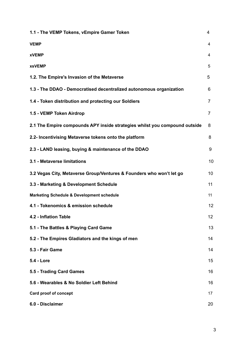| 1.1 - The VEMP Tokens, vEmpire Gamer Token                                 | 4  |
|----------------------------------------------------------------------------|----|
| <b>VEMP</b>                                                                | 4  |
| <b>xVEMP</b>                                                               | 4  |
| <b>xsVEMP</b>                                                              | 5  |
| 1.2. The Empire's Invasion of the Metaverse                                | 5  |
| 1.3 - The DDAO - Democratised decentralized autonomous organization        | 6  |
| 1.4 - Token distribution and protecting our Soldiers                       | 7  |
| 1.5 - VEMP Token Airdrop                                                   | 7  |
| 2.1 The Empire compounds APY inside strategies whilst you compound outside | 8  |
| 2.2- Incentivising Metaverse tokens onto the platform                      | 8  |
| 2.3 - LAND leasing, buying & maintenance of the DDAO                       | 9  |
| 3.1 - Metaverse limitations                                                | 10 |
| 3.2 Vegas City, Metaverse Group/Ventures & Founders who won't let go       | 10 |
| 3.3 - Marketing & Development Schedule                                     | 11 |
| <b>Marketing Schedule &amp; Development schedule</b>                       | 11 |
| 4.1 - Tokenomics & emission schedule                                       | 12 |
| 4.2 - Inflation Table                                                      | 12 |
| 5.1 - The Battles & Playing Card Game                                      | 13 |
| 5.2 - The Empires Gladiators and the kings of men                          | 14 |
| 5.3 - Fair Game                                                            | 14 |
| <b>5.4 - Lore</b>                                                          | 15 |
| 5.5 - Trading Card Games                                                   | 16 |
| 5.6 - Wearables & No Soldier Left Behind                                   | 16 |
| Card proof of concept                                                      | 17 |
| 6.0 - Disclaimer                                                           | 20 |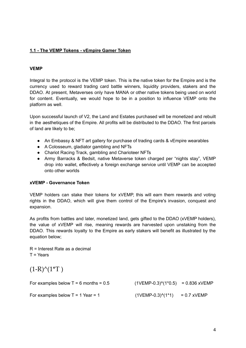### **1.1 - The VEMP Tokens - vEmpire Gamer Token**

#### **VEMP**

Integral to the protocol is the VEMP token. This is the native token for the Empire and is the currency used to reward trading card battle winners, liquidity providers, stakers and the DDAO. At present, Metaverses only have MANA or other native tokens being used on world for content. Eventually, we would hope to be in a position to influence VEMP onto the platform as well.

Upon successful launch of V2, the Land and Estates purchased will be monetized and rebuilt in the aesthetiques of the Empire. All profits will be distributed to the DDAO. The first parcels of land are likely to be;

- An Embassy & NFT art gallery for purchase of trading cards & vEmpire wearables
- A Colosseum, gladiator gambling and NFTs
- Chariot Racing Track, gambling and Charioteer NFTs
- Army Barracks & Bedsit, native Metaverse token charged per "nights stay", VEMP drop into wallet, effectively a foreign exchange service until VEMP can be accepted onto other worlds

#### **xVEMP - Governance Token**

VEMP holders can stake their tokens for xVEMP, this will earn them rewards and voting rights in the DDAO, which will give them control of the Empire's invasion, conquest and expansion.

As profits from battles and later, monetized land, gets gifted to the DDAO (xVEMP holders), the value of xVEMP will rise, meaning rewards are harvested upon unstaking from the DDAO. This rewards loyalty to the Empire as early stakers will benefit as illustrated by the equation below;

R = Interest Rate as a decimal T = Years

 $(1-R)^{\wedge}(1^*T)$ 

| For examples below $T = 6$ months = 0.5 | $(1VEMP-0.3)^{(1*0.5)}$ = 0.836 xVEMP |  |
|-----------------------------------------|---------------------------------------|--|
| For examples below $T = 1$ Year = 1     | $(1VEMP-0.3)^{(1*1)} = 0.7$ xVEMP     |  |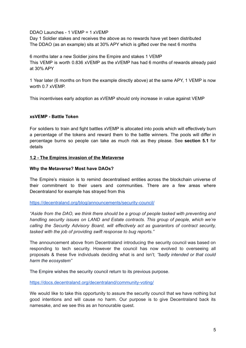DDAO Launches - 1 VEMP = 1 xVEMP

Day 1 Soldier stakes and receives the above as no rewards have yet been distributed The DDAO (as an example) sits at 30% APY which is gifted over the next 6 months

6 months later a new Soldier joins the Empire and stakes 1 VEMP This VEMP is worth 0.836 xVEMP as the xVEMP has had 6 months of rewards already paid at 30% APY

1 Year later (6 months on from the example directly above) at the same APY, 1 VEMP is now worth 0.7 xVEMP.

This incentivises early adoption as xVEMP should only increase in value against VEMP

#### **xsVEMP - Battle Token**

For soldiers to train and fight battles xVEMP is allocated into pools which will effectively burn a percentage of the tokens and reward them to the battle winners. The pools will differ in percentage burns so people can take as much risk as they please. See **section 5.1** for details

#### **1.2 - The Empires invasion of the Metaverse**

#### **Why the Metaverse? Most have DAOs?**

The Empire's mission is to remind decentralised entities across the blockchain universe of their commitment to their users and communities. There are a few areas where Decentraland for example has strayed from this

<https://decentraland.org/blog/announcements/security-council/>

*"Aside from the DAO, we think there should be a group of people tasked with preventing and handling security issues on LAND and Estate contracts. This group of people, which we're calling the Security Advisory Board, will effectively act as guarantors of contract security, tasked with the job of providing swift response to bug reports."*

The announcement above from Decentraland introducing the security council was based on responding to tech security. However the council has now evolved to overseeing all proposals & these five individuals deciding what is and isn't; *"badly intended or that could harm the ecosystem"*

The Empire wishes the security council return to its previous purpose.

<https://docs.decentraland.org/decentraland/community-voting/>

We would like to take this opportunity to assure the security council that we have nothing but good intentions and will cause no harm. Our purpose is to give Decentraland back its namesake, and we see this as an honourable quest.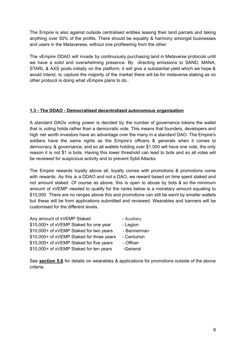The Empire is also against outside centralised entities leasing their land parcels and taking anything over 50% of the profits. There should be equality & harmony amongst businesses and users in the Metaverese, without one profiteering from the other.

The vEmpire DDAO will invade by continuously purchasing land in Metaverse protocols until we have a solid and overwhelming presence. By directing emissions to SAND, MANA, STARL & AXS pools initially on the platform, it will give a substantial yield which we hope & would intend, to capture the majority of the market there will be for metaverse staking as no other protocol is doing what vEmpire plans to do..

#### **1.3 - The DDAO - Democratised decentralized autonomous organization**

A standard DAOs voting power is decided by the number of governance tokens the wallet that is voting holds rather than a democratic vote. This means that founders, developers and high net worth investors have an advantage over the many in a standard DAO. The Empire's soldiers have the same rights as the Empire's officers & generals when it comes to democracy & governance, and so all wallets holding over \$1,000 will have one vote, the only reason it is not \$1 is bots. Having this lower threshold can lead to bots and so all votes will be reviewed for suspicious activity and to prevent Sybil Attacks.

The Empire rewards loyalty above all, loyalty comes with promotions & promotions come with rewards. As this is a DDAO and not a DAO, we reward based on time spent staked and not amount staked. Of course as above, this is open to abuse by bots & so the minimum amount of xVEMP needed to qualify for the ranks below is a monetary amount equating to \$10,000. There are no ranges above this and promotions can still be earnt by smaller wallets but these will be from applications submitted and reviewed. Wearables and banners will be customised for the different levels.

| - Auxiliary |
|-------------|
| - Legion    |
| - Bannerman |
| - Centurion |
| - Officer   |
| -General    |
|             |

See **section 5.6** for details on wearables & applications for promotions outside of the above criteria.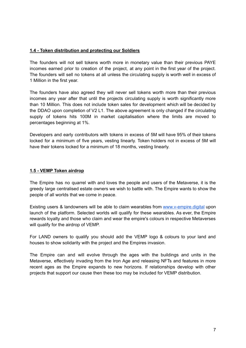#### **1.4 - Token distribution and protecting our Soldiers**

The founders will not sell tokens worth more in monetary value than their previous PAYE incomes earned prior to creation of the project, at any point in the first year of the project. The founders will sell no tokens at all unless the circulating supply is worth well in excess of 1 Million in the first year.

The founders have also agreed they will never sell tokens worth more than their previous incomes any year after that until the projects circulating supply is worth significantly more than 10 Million. This does not include token sales for development which will be decided by the DDAO upon completion of V2 L1. The above agreement is only changed if the circulating supply of tokens hits 100M in market capitalisation where the limits are moved to percentages beginning at 1%.

Developers and early contributors with tokens in excess of 5M will have 95% of their tokens locked for a minimum of five years, vesting linearly. Token holders not in excess of 5M will have their tokens locked for a minimum of 18 months, vesting linearly.

#### **1.5 - VEMP Token airdrop**

The Empire has no quarrel with and loves the people and users of the Metaverse, it is the greedy large centralised estate owners we wish to battle with. The Empire wants to show the people of all worlds that we come in peace.

Existing users & landowners will be able to claim wearables from [www.v-empire.digital](http://www.v-empire.digital) upon launch of the platform. Selected worlds will qualify for these wearables. As ever, the Empire rewards loyalty and those who claim and wear the empire's colours in respective Metaverses will qualify for the airdrop of VEMP.

For LAND owners to qualify you should add the VEMP logo & colours to your land and houses to show solidarity with the project and the Empires invasion.

The Empire can and will evolve through the ages with the buildings and units in the Metaverse, effectively invading from the Iron Age and releasing NFTs and features in more recent ages as the Empire expands to new horizons. If relationships develop with other projects that support our cause then these too may be included for VEMP distribution.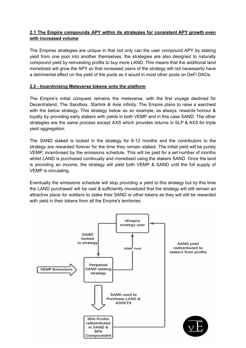#### **2.1 The Empire compounds APY within its strategies for consistent APY growth even with increased volume**

The Empires strategies are unique in that not only can the user compound APY by staking yield from one pool into another themselves, the strategies are also designed to naturally compound yield by reinvesting profits to buy more LAND. This means that the additional land monetized will grow the APY so that increased users of the strategy will not necessarily have a detrimental effect on the yield of the pools as it would in most other pools on DeFi DAOs.

#### **2.2 - Incentivising Metaverse tokens onto the platform**

The Empire's initial conquest remains the metaverse, with the first voyage destined for Decentraland, The Sandbox, Starlink & Axie infinity. The Empire plans to raise a warchest with the below strategy. This strategy below as an example, as always, rewards honour & loyalty by providing early stakers with yields in both VEMP and in this case SAND. The other strategies are the same process except AXS which provides returns in SLP & AXS for triple yield aggregation.

The SAND staked is locked in the strategy for 6-12 months and the contributors to the strategy are rewarded forever for the time they remain staked. The initial yield will be purely VEMP, incentivised by the emissions schedule. This will be paid for a set number of months whilst LAND is purchased continually and monetised using the stakers SAND. Once the land is providing an income, the strategy will yield both VEMP & SAND until the full supply of VEMP is circulating.

Eventually the emissions schedule will stop providing a yield to this strategy but by this time the LAND purchased will be vast & sufficiently monetized that the strategy will still remain an attractive place for soldiers to stake their SAND or other tokens as they will still be rewarded with yield in their tokens from all the Empire's territories.

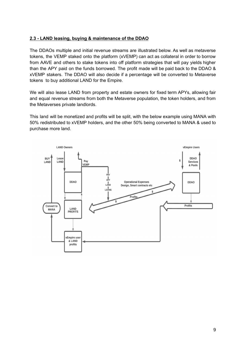### **2.3 - LAND leasing, buying & maintenance of the DDAO**

The DDAOs multiple and initial revenue streams are illustrated below. As well as metaverse tokens, the VEMP staked onto the platform (xVEMP) can act as collateral in order to borrow from AAVE and others to stake tokens into off platform strategies that will pay yields higher than the APY paid on the funds borrowed. The profit made will be paid back to the DDAO & xVEMP stakers. The DDAO will also decide if a percentage will be converted to Metaverse tokens to buy additional LAND for the Empire.

We will also lease LAND from property and estate owners for fixed term APYs, allowing fair and equal revenue streams from both the Metaverse population, the token holders, and from the Metaverses private landlords.

This land will be monetized and profits will be split, with the below example using MANA with 50% redistributed to xVEMP holders, and the other 50% being converted to MANA & used to purchase more land.

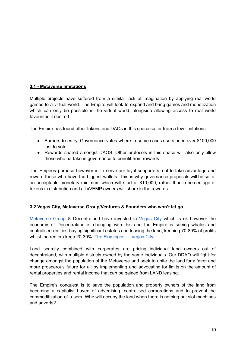#### **3.1 - Metaverse limitations**

Multiple projects have suffered from a similar lack of imagination by applying real world games to a virtual world. The Empire will look to expand and bring games and monetization which can only be possible in the virtual world, alongside allowing access to real world favourites if desired.

The Empire has found other tokens and DAOs in this space suffer from a few limitations;

- Barriers to entry. Governance votes where in some cases users need over \$100,000 just to vote.
- Rewards shared amongst DAOS. Other protocols in this space will also only allow those who partake in governance to benefit from rewards.

The Empires purpose however is to serve our loyal supporters, not to take advantage and reward those who have the biggest wallets. This is why governance proposals will be set at an acceptable monetary minimum which will start at \$10,000, rather than a percentage of tokens in distribution and all xVEMP owners will share in the rewards.

#### **3.2 Vegas City, Metaverse Group/Ventures & Founders who won't let go**

[Metaverse](https://metaversegroup.io/) Group & Decentraland have invested in [Vegas](https://www.vegascity.org/) City which is ok however the economy of Decentraland is changing with this and the Empire is seeing whales and centralised entities buying significant estates and leasing the land, keeping 70-80% of profits whilst the renters keep 20-30% The [Flamingos](https://www.vegascity.org/news/2019/10/19/the-flamingos) - Vegas City.

Land scarcity combined with corporates are pricing individual land owners out of decentraland, with multiple districts owned by the same individuals. Our DDAO will fight for change amongst the population of the Metaverse and seek to unite the land for a fairer and more prosperous future for all by implementing and advocating for limits on the amount of rental properties and rental income that can be gained from LAND leasing.

The Empire's conquest is to save the population and property owners of the land from becoming a capitalist haven of advertising, centralised corporations and to prevent the commoditization of users. Who will occupy the land when there is nothing but slot machines and adverts?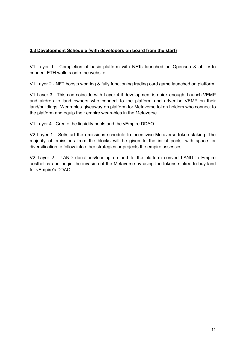#### **3.3 Development Schedule (with developers on board from the start)**

V1 Layer 1 - Completion of basic platform with NFTs launched on Opensea & ability to connect ETH wallets onto the website.

V1 Layer 2 - NFT boosts working & fully functioning trading card game launched on platform

V1 Layer 3 - This can coincide with Layer 4 if development is quick enough, Launch VEMP and airdrop to land owners who connect to the platform and advertise VEMP on their land/buildings. Wearables giveaway on platform for Metaverse token holders who connect to the platform and equip their empire wearables in the Metaverse.

V1 Layer 4 - Create the liquidity pools and the vEmpire DDAO.

V2 Layer 1 - Set/start the emissions schedule to incentivise Metaverse token staking. The majority of emissions from the blocks will be given to the initial pools, with space for diversification to follow into other strategies or projects the empire assesses.

V2 Layer 2 - LAND donations/leasing on and to the platform convert LAND to Empire aesthetics and begin the invasion of the Metaverse by using the tokens staked to buy land for vEmpire's DDAO.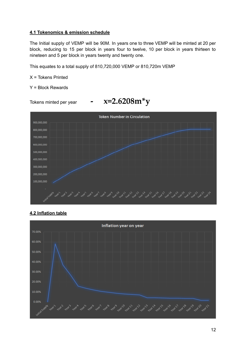#### **4.1 Tokenomics & emission schedule**

The Initial supply of VEMP will be 90M. In years one to three VEMP will be minted at 20 per block, reducing to 15 per block in years four to twelve, 10 per block in years thirteen to nineteen and 5 per block in years twenty and twenty one.

This equates to a total supply of 810,720,000 VEMP or 810,720m VEMP

X = Tokens Printed

Y = Block Rewards



## **4.2 Inflation table**

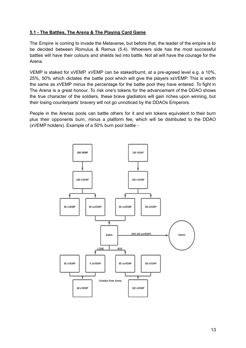### **5.1 - The Battles, The Arena & The Playing Card Game**

The Empire is coming to invade the Metaverse, but before that, the leader of the empire is to be decided between Romulus & Remus (5.4). Whoevers side has the most successful battles will have their colours and shields led into battle. Not all will have the courage for the Arena.

VEMP is staked for xVEMP. xVEMP can be staked/burnt, at a pre-agreed level e.g. a 10%, 25%, 50% which dictates the battle pool which will give the players xsVEMP. This is worth the same as xVEMP minus the percentage for the battle pool they have entered. To fight in The Arena is a great honour. To risk one's tokens for the advancement of the DDAO shows the true character of the soldiers, these brave gladiators will gain riches upon winning, but their losing counterparts' bravery will not go unnoticed by the DDAOs Emperors.

People in the Arenas pools can battle others for it and win tokens equivalent to their burn plus their opponents burn, minus a platform fee, which will be distributed to the DDAO (xVEMP holders). Example of a 50% burn pool battle -

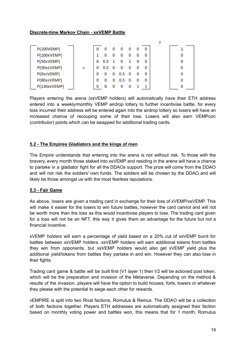#### **Discrete-time Markov Chain - xsVEMP Battle**

| <b>P(100VEMP)</b> | 0 |     | 0 | 0   | - 0      | 0 | 0 |   |  |
|-------------------|---|-----|---|-----|----------|---|---|---|--|
| P(100xVEMP)       |   |     |   |     |          | 0 | 0 |   |  |
| P(50xVEMP)        | 0 | 0.5 |   | 0   |          | 0 | 0 | 0 |  |
| P(50xsVEMP)       | 0 | 0.5 | 0 | 0   | 0        | 0 | 0 | o |  |
| P(0xsVEMP)        |   | o   | o | 0.5 | - 0      | 0 | 0 |   |  |
| P(80xsVEMP)       | 0 |     | o | 0.5 | $\Omega$ | 0 | 0 |   |  |
| P(130xsVEMP)      | 0 |     |   |     |          |   |   |   |  |

Players entering the arena (xsVEMP holders) will automatically have their ETH address entered into a weekly/monthly VEMP airdrop lottery to further incentivise battle, for every loss incurred their address will be entered again into the airdrop lottery so losers will have an increased chance of recouping some of their loss. Losers will also earn VEMPcon (contributor) points which can be swapped for additional trading cards.

#### **5.2 - The Empires Gladiators and the kings of men**

The Empire understands that entering into the arena is not without risk. To those with the bravery, every month those staked into xsVEMP and residing in the arena will have a chance to partake in a gladiator fight for all the DDAOs support. The prize will come from the DDAO and will not risk the soldiers' own funds. The soldiers will be chosen by the DDAO and will likely be those amongst us with the most fearless reputations.

#### **5.3 - Fair Game**

As above, losers are given a trading card in exchange for their loss of xVEMP/xsVEMP. This will make it easier for the losers to win future battles, however the card cannot and will not be worth more than the loss as this would incentivise players to lose. The trading card given for a loss will not be an NFT, this way it gives them an advantage for the future but not a financial incentive.

xVEMP holders will earn a percentage of yield based on a 20% cut of xsVEMP burnt for battles between xsVEMP holders. xsVEMP holders will earn additional tokens from battles they win from opponents, but xsVEMP holders would also get xVEMP yield plus the additional yield/tokens from battles they partake in and win. However they can also lose in their fights.

Trading card game & battle will be built first (V1 layer 1) then V2 will be actioned post token, which will be the preparation and invasion of the Metaverse. Depending on the method & results of the invasion, players will have the option to build houses, forts, towers or whatever they please with the potential to siege each other for rewards.

vEMPIRE is split into two Rival factions, Romulus & Remus. The DDAO will be a collection of both factions together. Players ETH addresses are automatically assigned their faction based on monthly voting power and battles won, this means that for 1 month, Romulus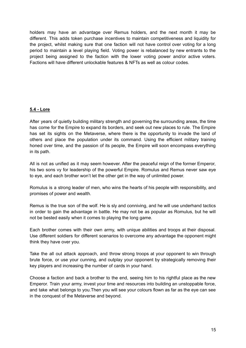holders may have an advantage over Remus holders, and the next month it may be different. This adds token purchase incentives to maintain competitiveness and liquidity for the project, whilst making sure that one faction will not have control over voting for a long period to maintain a level playing field. Voting power is rebalanced by new entrants to the project being assigned to the faction with the lower voting power and/or active voters. Factions will have different unlockable features & NFTs as well as colour codes.

#### **5.4 - Lore**

After years of quietly building military strength and governing the surrounding areas, the time has come for the Empire to expand its borders, and seek out new places to rule. The Empire has set its sights on the Metaverse, where there is the opportunity to invade the land of others and place the population under its command. Using the efficient military training honed over time, and the passion of its people, the Empire will soon encompass everything in its path.

All is not as unified as it may seem however. After the peaceful reign of the former Emperor, his two sons vy for leadership of the powerful Empire. Romulus and Remus never saw eye to eye, and each brother won't let the other get in the way of unlimited power.

Romulus is a strong leader of men, who wins the hearts of his people with responsibility, and promises of power and wealth.

Remus is the true son of the wolf. He is sly and conniving, and he will use underhand tactics in order to gain the advantage in battle. He may not be as popular as Romulus, but he will not be bested easily when it comes to playing the long game.

Each brother comes with their own army, with unique abilities and troops at their disposal. Use different soldiers for different scenarios to overcome any advantage the opponent might think they have over you.

Take the all out attack approach, and throw strong troops at your opponent to win through brute force, or use your cunning, and outplay your opponent by strategically removing their key players and increasing the number of cards in your hand.

Choose a faction and back a brother to the end, seeing him to his rightful place as the new Emperor. Train your army, invest your time and resources into building an unstoppable force, and take what belongs to you.Then you will see your colours flown as far as the eye can see in the conquest of the Metaverse and beyond.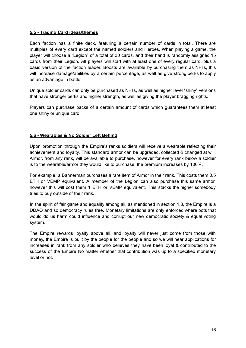#### **5.5 - Trading Card ideas/themes**

Each faction has a finite deck, featuring a certain number of cards in total. There are multiples of every card except the named soldiers and Heroes. When playing a game, the player will choose a "Legion" of a total of 30 cards, and their hand is randomly assigned 15 cards from their Legion. All players will start with at least one of every regular card, plus a basic version of the faction leader. Boosts are available by purchasing them as NFTs, this will increase damage/abilities by a certain percentage, as well as give strong perks to apply as an advantage in battle.

Unique soldier cards can only be purchased as NFTs, as well as higher level "shiny" versions that have stronger perks and higher strength, as well as giving the player bragging rights.

Players can purchase packs of a certain amount of cards which guarantees them at least one shiny or unique card.

#### **5.6 - Wearables & No Soldier Left Behind**

Upon promotion through the Empire's ranks soldiers will receive a wearable reflecting their achievement and loyalty. This standard armor can be upgraded, collected & changed at will. Armor, from any rank, will be available to purchase, however for every rank below a soldier is to the wearable/armor they would like to purchase, the premium increases by 100%.

For example, a Bannerman purchases a rare item of Armor in their rank. This costs them 0.5 ETH or VEMP equivalent. A member of the Legion can also purchase this same armor, however this will cost them 1 ETH or VEMP equivalent. This stacks the higher somebody tries to buy outside of their rank.

In the spirit of fair game and equality among all, as mentioned in section 1.3, the Empire is a DDAO and so democracy rules free. Monetary limitations are only enforced where bots that would do us harm could influence and corrupt our new democratic society & equal voting system.

The Empire rewards loyalty above all, and loyalty will never just come from those with money, the Empire is built by the people for the people and so we will hear applications for increases in rank from any soldier who believes they have been loyal & contributed to the success of the Empire No matter whether that contribution was up to a specified monetary level or not.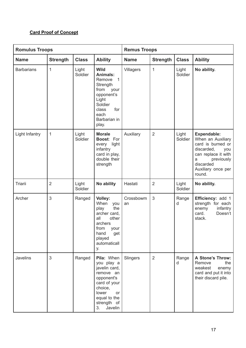## **Card Proof of Concept**

| <b>Romulus Troops</b> |                 |                  | <b>Remus Troops</b>                                                                                                                                                     |                 |                 |                  |                                                                                                                                                                          |
|-----------------------|-----------------|------------------|-------------------------------------------------------------------------------------------------------------------------------------------------------------------------|-----------------|-----------------|------------------|--------------------------------------------------------------------------------------------------------------------------------------------------------------------------|
| <b>Name</b>           | <b>Strength</b> | <b>Class</b>     | <b>Ability</b>                                                                                                                                                          | <b>Name</b>     | <b>Strength</b> | <b>Class</b>     | <b>Ability</b>                                                                                                                                                           |
| <b>Barbarians</b>     | $\mathbf{1}$    | Light<br>Soldier | <b>Wild</b><br><b>Animals:</b><br>$\mathbf{1}$<br>Remove<br>Strength<br>from<br>your<br>opponent's<br>Light<br>Soldier<br>for<br>class<br>each<br>Barbarian in<br>play. | Villagers       | $\mathbf{1}$    | Light<br>Soldier | No ability.                                                                                                                                                              |
| Light Infantry        | 1               | Light<br>Soldier | <b>Morale</b><br>Boost: For<br>every<br>light<br>infantry<br>card in play,<br>double their<br>strength                                                                  | Auxiliary       | $\overline{2}$  | Light<br>Soldier | <b>Expendable:</b><br>When an Auxiliary<br>card is burned or<br>discarded,<br>you<br>can replace it with<br>previously<br>a<br>discarded<br>Auxiliary once per<br>round. |
| Triarii               | $\overline{2}$  | Light<br>Soldier | No ability                                                                                                                                                              | Hastati         | $\overline{2}$  | Light<br>Soldier | No ability.                                                                                                                                                              |
| Archer                | 3               | Ranged           | Volley:<br>When<br>you<br>play<br>the<br>archer card,<br>all<br>other<br>archers<br>from<br>your<br>hand<br>get<br>played<br>automaticall<br>у.                         | Crossbowm<br>an | 3               | Range<br>d       | Efficiency: add 1<br>strength for each<br>infantry<br>enemy<br>Doesn't<br>card.<br>stack.                                                                                |
| Javelins              | 3               | Ranged           | Pila: When<br>you play a<br>javelin card,<br>remove an<br>opponent's<br>card of your<br>choice,<br>lower<br>or<br>equal to the<br>strength of<br>Javelin<br>3.          | Slingers        | 2               | Range<br>d       | A Stone's Throw:<br>the<br>Remove<br>weakest<br>enemy<br>card and put it into<br>their discard pile.                                                                     |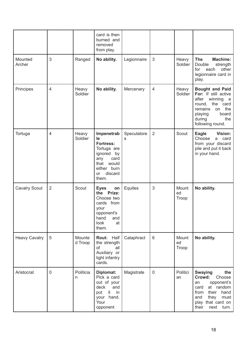|                      |                |                   | card is then<br>burned and<br>removed<br>from play.                                                                                           |                            |                 |                      |                                                                                                                                                                                   |
|----------------------|----------------|-------------------|-----------------------------------------------------------------------------------------------------------------------------------------------|----------------------------|-----------------|----------------------|-----------------------------------------------------------------------------------------------------------------------------------------------------------------------------------|
| Mounted<br>Archer    | 3              | Ranged            | No ability.                                                                                                                                   | Legionnaire                | $\mathfrak{S}$  | Heavy<br>Soldier     | <b>The</b><br><b>Machine:</b><br>Double<br>strength<br>other<br>for<br>each<br>legionnaire card in<br>play.                                                                       |
| Principes            | $\overline{4}$ | Heavy<br>Soldier  | No ability.                                                                                                                                   | Mercenary                  | 4               | Heavy<br>Soldier     | <b>Bought and Paid</b><br>For: If still active<br>after<br>winning<br>a a<br>round,<br>the card<br>the<br>remains<br>on<br>board<br>playing<br>the<br>during<br>following round.  |
| Tortuga              | $\overline{4}$ | Heavy<br>Soldier  | Impenetrab<br>le<br><b>Fortress:</b><br>Tortuga are<br>ignored<br>by<br>card<br>any<br>that<br>would<br>either burn<br>discard<br>or<br>them. | Speculatore<br>$\mathbb S$ | $\overline{2}$  | Scout                | <b>Eagle</b><br>Vision:<br>Choose<br>card<br>a<br>from your discard<br>pile and put it back<br>in your hand.                                                                      |
| <b>Cavalry Scout</b> | $\overline{2}$ | Scout             | <b>Eyes</b><br>on<br>the Prize:<br>Choose two<br>cards from<br>your<br>opponent's<br>hand<br>and<br>look<br>at<br>them.                       | Equites                    | 3               | Mount<br>ed<br>Troop | No ability.                                                                                                                                                                       |
| <b>Heavy Cavalry</b> | 5              | Mounte<br>d Troop | Rout: Half<br>the strength<br>of<br>all<br>Auxiliary or<br>light infantry<br>cards.                                                           | Cataphract                 | $6\phantom{1}6$ | Mount<br>ed<br>Troop | No ability.                                                                                                                                                                       |
| Aristocrat           | $\mathbf 0$    | Politicia<br>n    | Diplomat:<br>Pick a card<br>out of your<br>deck<br>and<br>it<br>in<br>put<br>hand.<br>your<br>Your<br>opponent                                | Magistrate                 | $\mathbf 0$     | Politici<br>an       | <b>Swaying</b><br>the<br>Crowd:<br>Choose<br>opponent's<br>an<br>at random<br>card<br>their<br>hand<br>from<br>they<br>must<br>and<br>play that card on<br>next<br>their<br>turn. |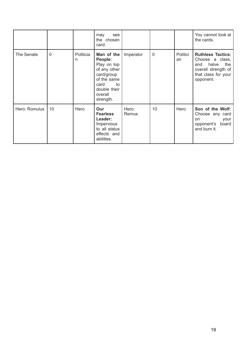|               |                |                | see<br>may<br>the chosen<br>card.                                                                                                       |                |                |                | You cannot look at<br>the cards.                                                                                              |
|---------------|----------------|----------------|-----------------------------------------------------------------------------------------------------------------------------------------|----------------|----------------|----------------|-------------------------------------------------------------------------------------------------------------------------------|
| The Senate    | $\overline{0}$ | Politicia<br>n | Man of the<br>People:<br>Play on top<br>of any other<br>card/group<br>of the same<br>to<br>card<br>double their<br>overall<br>strength. | Imperator      | $\overline{0}$ | Politici<br>an | <b>Ruthless Tactics:</b><br>Choose a class,<br>the<br>halve<br>and<br>overall strength of<br>that class for your<br>opponent. |
| Hero: Romulus | 10             | Hero           | Our<br><b>Fearless</b><br>Leader:<br><b>Impervious</b><br>to all status<br>effects and<br>abilities.                                    | Hero:<br>Remus | 10             | Hero           | Son of the Wolf:<br>Choose any card<br>your<br>on<br>board<br>opponent's<br>and burn it.                                      |